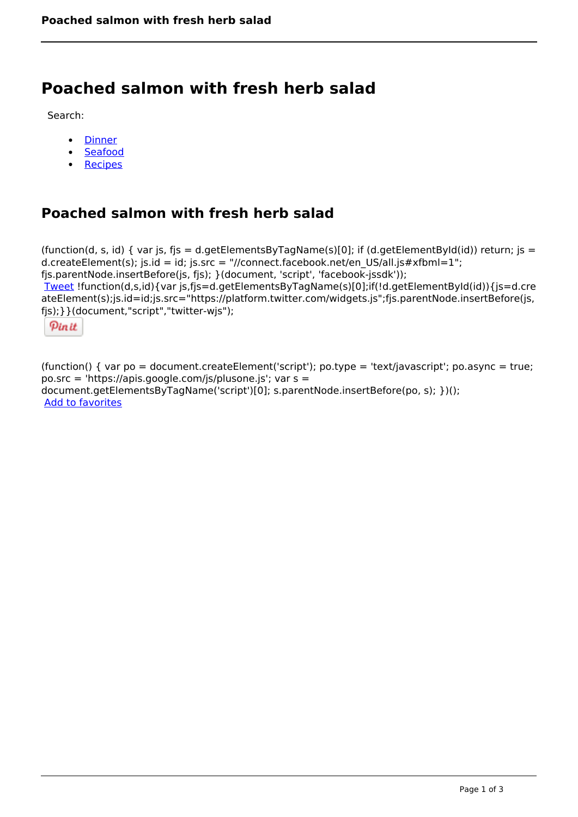## **Poached salmon with fresh herb salad**

Search:

- **[Dinner](https://www.naturalhealthmag.com.au/nourish/dinner-ideas)**  $\bullet$
- [Seafood](https://www.naturalhealthmag.com.au/nourish/seafood)  $\bullet$
- [Recipes](https://www.naturalhealthmag.com.au/nourish/recipes)

## **Poached salmon with fresh herb salad**

```
(function(d, s, id) { var js, fjs = d.getElementsByTagName(s)[0]; if (d.getElementById(id)) return; js =
d.createElement(s); js.id = id; js.src = "//connect.facebook.net/en_US/all.js#xfbml=1";
fjs.parentNode.insertBefore(js, fjs); }(document, 'script', 'facebook-jssdk')); 
Tweet !function(d,s,id){var js,fjs=d.getElementsByTagName(s)[0];if(!d.getElementById(id)){js=d.cre
ateElement(s);js.id=id;js.src="https://platform.twitter.com/widgets.js";fjs.parentNode.insertBefore(js,
fjs);}}(document,"script","twitter-wjs"); 
 Pin it
```
(function() { var po = document.createElement('script'); po.type = 'text/javascript'; po.async = true; po.src = 'https://apis.google.com/js/plusone.js'; var s = document.getElementsByTagName('script')[0]; s.parentNode.insertBefore(po, s); })(); Add to favorites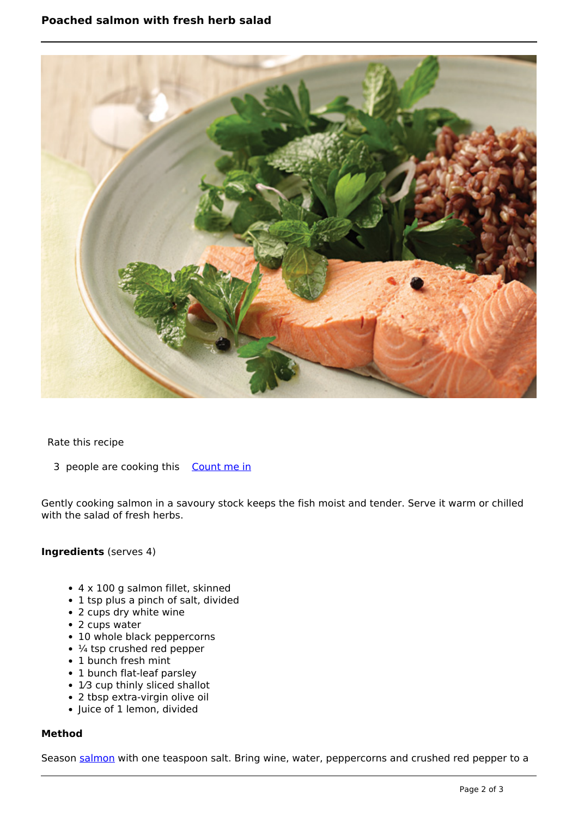

Rate this recipe

3 people are cooking this [Count me in](https://www.naturalhealthmag.com.au/flag/flag/favorites/772?destination=printpdf%2F772&token=e9eaa419cdd3914401857e31f6f9ada8)

Gently cooking salmon in a savoury stock keeps the fish moist and tender. Serve it warm or chilled with the salad of fresh herbs.

## **Ingredients** (serves 4)

- 4 x 100 g salmon fillet, skinned
- 1 tsp plus a pinch of salt, divided
- 2 cups dry white wine
- 2 cups water
- 10 whole black peppercorns
- $\cdot$   $\frac{1}{4}$  tsp crushed red pepper
- 1 bunch fresh mint
- 1 bunch flat-leaf parsley
- 1⁄3 cup thinly sliced shallot
- 2 tbsp extra-virgin olive oil
- Juice of 1 lemon, divided

## **Method**

Season [salmon](http://www.naturalhealthmag.com.au/nourish/salmon-creamy-chive-mash) with one teaspoon salt. Bring wine, water, peppercorns and crushed red pepper to a